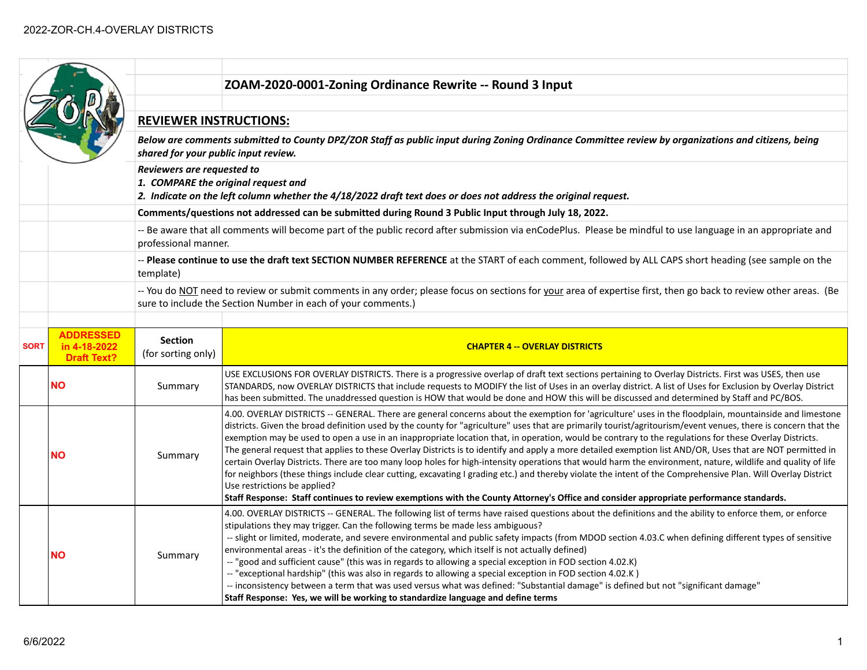|             |                                                        |                                                                                                                                                                                            | ZOAM-2020-0001-Zoning Ordinance Rewrite -- Round 3 Input                                                                                                                                                                                                                                                                                                                                                                                                                                                                                                                                                                                                                                                                                                                                                                                                                                                                                                                                                                                                                                                                                                     |  |
|-------------|--------------------------------------------------------|--------------------------------------------------------------------------------------------------------------------------------------------------------------------------------------------|--------------------------------------------------------------------------------------------------------------------------------------------------------------------------------------------------------------------------------------------------------------------------------------------------------------------------------------------------------------------------------------------------------------------------------------------------------------------------------------------------------------------------------------------------------------------------------------------------------------------------------------------------------------------------------------------------------------------------------------------------------------------------------------------------------------------------------------------------------------------------------------------------------------------------------------------------------------------------------------------------------------------------------------------------------------------------------------------------------------------------------------------------------------|--|
|             |                                                        |                                                                                                                                                                                            |                                                                                                                                                                                                                                                                                                                                                                                                                                                                                                                                                                                                                                                                                                                                                                                                                                                                                                                                                                                                                                                                                                                                                              |  |
|             |                                                        | <b>REVIEWER INSTRUCTIONS:</b>                                                                                                                                                              |                                                                                                                                                                                                                                                                                                                                                                                                                                                                                                                                                                                                                                                                                                                                                                                                                                                                                                                                                                                                                                                                                                                                                              |  |
|             |                                                        | Below are comments submitted to County DPZ/ZOR Staff as public input during Zoning Ordinance Committee review by organizations and citizens, being<br>shared for your public input review. |                                                                                                                                                                                                                                                                                                                                                                                                                                                                                                                                                                                                                                                                                                                                                                                                                                                                                                                                                                                                                                                                                                                                                              |  |
|             |                                                        | Reviewers are requested to<br>1. COMPARE the original request and<br>2. Indicate on the left column whether the 4/18/2022 draft text does or does not address the original request.        |                                                                                                                                                                                                                                                                                                                                                                                                                                                                                                                                                                                                                                                                                                                                                                                                                                                                                                                                                                                                                                                                                                                                                              |  |
|             |                                                        |                                                                                                                                                                                            | Comments/questions not addressed can be submitted during Round 3 Public Input through July 18, 2022.                                                                                                                                                                                                                                                                                                                                                                                                                                                                                                                                                                                                                                                                                                                                                                                                                                                                                                                                                                                                                                                         |  |
|             |                                                        | professional manner.                                                                                                                                                                       | -- Be aware that all comments will become part of the public record after submission via enCodePlus. Please be mindful to use language in an appropriate and                                                                                                                                                                                                                                                                                                                                                                                                                                                                                                                                                                                                                                                                                                                                                                                                                                                                                                                                                                                                 |  |
|             |                                                        | template)                                                                                                                                                                                  | -- Please continue to use the draft text SECTION NUMBER REFERENCE at the START of each comment, followed by ALL CAPS short heading (see sample on the                                                                                                                                                                                                                                                                                                                                                                                                                                                                                                                                                                                                                                                                                                                                                                                                                                                                                                                                                                                                        |  |
|             |                                                        |                                                                                                                                                                                            | -- You do NOT need to review or submit comments in any order; please focus on sections for your area of expertise first, then go back to review other areas. (Be<br>sure to include the Section Number in each of your comments.)                                                                                                                                                                                                                                                                                                                                                                                                                                                                                                                                                                                                                                                                                                                                                                                                                                                                                                                            |  |
|             |                                                        |                                                                                                                                                                                            |                                                                                                                                                                                                                                                                                                                                                                                                                                                                                                                                                                                                                                                                                                                                                                                                                                                                                                                                                                                                                                                                                                                                                              |  |
| <b>SORT</b> | <b>ADDRESSED</b><br>in 4-18-2022<br><b>Draft Text?</b> | <b>Section</b><br>(for sorting only)                                                                                                                                                       | <b>CHAPTER 4 -- OVERLAY DISTRICTS</b>                                                                                                                                                                                                                                                                                                                                                                                                                                                                                                                                                                                                                                                                                                                                                                                                                                                                                                                                                                                                                                                                                                                        |  |
|             | <b>NO</b>                                              | Summary                                                                                                                                                                                    | USE EXCLUSIONS FOR OVERLAY DISTRICTS. There is a progressive overlap of draft text sections pertaining to Overlay Districts. First was USES, then use<br>STANDARDS, now OVERLAY DISTRICTS that include requests to MODIFY the list of Uses in an overlay district. A list of Uses for Exclusion by Overlay District<br>has been submitted. The unaddressed question is HOW that would be done and HOW this will be discussed and determined by Staff and PC/BOS.                                                                                                                                                                                                                                                                                                                                                                                                                                                                                                                                                                                                                                                                                             |  |
|             | NΟ                                                     | Summary                                                                                                                                                                                    | 4.00. OVERLAY DISTRICTS -- GENERAL. There are general concerns about the exemption for 'agriculture' uses in the floodplain, mountainside and limestone<br>districts. Given the broad definition used by the county for "agriculture" uses that are primarily tourist/agritourism/event venues, there is concern that the<br>exemption may be used to open a use in an inappropriate location that, in operation, would be contrary to the regulations for these Overlay Districts.<br>The general request that applies to these Overlay Districts is to identify and apply a more detailed exemption list AND/OR, Uses that are NOT permitted in<br>certain Overlay Districts. There are too many loop holes for high-intensity operations that would harm the environment, nature, wildlife and quality of life<br>for neighbors (these things include clear cutting, excavating I grading etc.) and thereby violate the intent of the Comprehensive Plan. Will Overlay District<br>Use restrictions be applied?<br>Staff Response: Staff continues to review exemptions with the County Attorney's Office and consider appropriate performance standards. |  |
|             | <b>NO</b>                                              | Summary                                                                                                                                                                                    | 4.00. OVERLAY DISTRICTS -- GENERAL. The following list of terms have raised questions about the definitions and the ability to enforce them, or enforce<br>stipulations they may trigger. Can the following terms be made less ambiguous?<br>-- slight or limited, moderate, and severe environmental and public safety impacts (from MDOD section 4.03.C when defining different types of sensitive<br>environmental areas - it's the definition of the category, which itself is not actually defined)<br>-- "good and sufficient cause" (this was in regards to allowing a special exception in FOD section 4.02.K)<br>-- "exceptional hardship" (this was also in regards to allowing a special exception in FOD section 4.02.K)<br>-- inconsistency between a term that was used versus what was defined: "Substantial damage" is defined but not "significant damage"<br>Staff Response: Yes, we will be working to standardize language and define terms                                                                                                                                                                                              |  |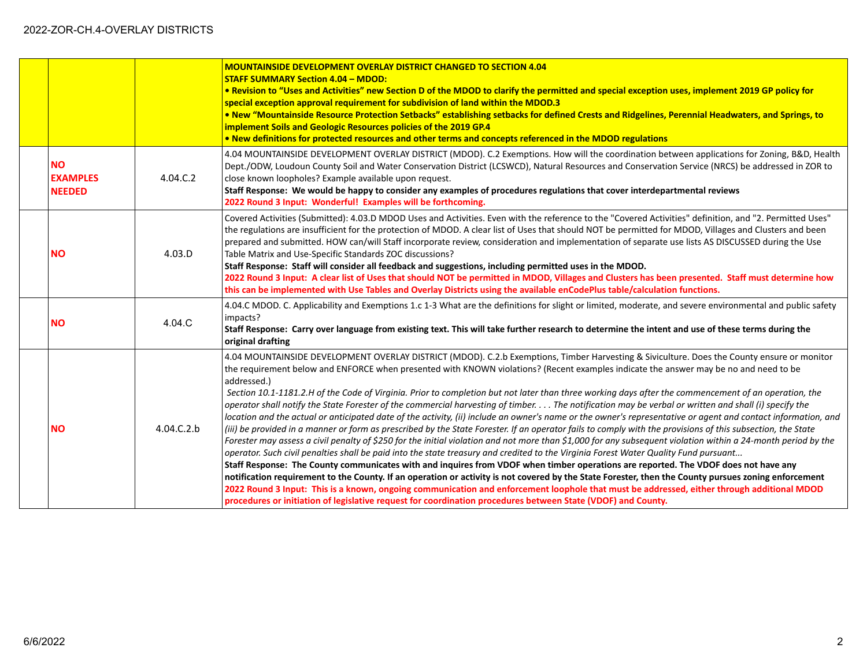|                                               |            | <b>MOUNTAINSIDE DEVELOPMENT OVERLAY DISTRICT CHANGED TO SECTION 4.04</b><br><b>STAFF SUMMARY Section 4.04 - MDOD:</b><br>. Revision to "Uses and Activities" new Section D of the MDOD to clarify the permitted and special exception uses, implement 2019 GP policy for<br>special exception approval requirement for subdivision of land within the MDOD.3<br>. New "Mountainside Resource Protection Setbacks" establishing setbacks for defined Crests and Ridgelines, Perennial Headwaters, and Springs, to<br>implement Soils and Geologic Resources policies of the 2019 GP.4<br>. New definitions for protected resources and other terms and concepts referenced in the MDOD regulations                                                                                                                                                                                                                                                                                                                                                                                                                                                                                                                                                                                                                                                                                                                                                                                                                                                                                                                                                                                                                                                                                                                         |
|-----------------------------------------------|------------|---------------------------------------------------------------------------------------------------------------------------------------------------------------------------------------------------------------------------------------------------------------------------------------------------------------------------------------------------------------------------------------------------------------------------------------------------------------------------------------------------------------------------------------------------------------------------------------------------------------------------------------------------------------------------------------------------------------------------------------------------------------------------------------------------------------------------------------------------------------------------------------------------------------------------------------------------------------------------------------------------------------------------------------------------------------------------------------------------------------------------------------------------------------------------------------------------------------------------------------------------------------------------------------------------------------------------------------------------------------------------------------------------------------------------------------------------------------------------------------------------------------------------------------------------------------------------------------------------------------------------------------------------------------------------------------------------------------------------------------------------------------------------------------------------------------------------|
| <b>NO</b><br><b>EXAMPLES</b><br><b>NEEDED</b> | 4.04.C.2   | 4.04 MOUNTAINSIDE DEVELOPMENT OVERLAY DISTRICT (MDOD). C.2 Exemptions. How will the coordination between applications for Zoning, B&D, Health<br>Dept./ODW, Loudoun County Soil and Water Conservation District (LCSWCD), Natural Resources and Conservation Service (NRCS) be addressed in ZOR to<br>close known loopholes? Example available upon request.<br>Staff Response: We would be happy to consider any examples of procedures regulations that cover interdepartmental reviews<br>2022 Round 3 Input: Wonderful! Examples will be forthcoming.                                                                                                                                                                                                                                                                                                                                                                                                                                                                                                                                                                                                                                                                                                                                                                                                                                                                                                                                                                                                                                                                                                                                                                                                                                                                 |
| <b>NO</b>                                     | 4.03.D     | Covered Activities (Submitted): 4.03.D MDOD Uses and Activities. Even with the reference to the "Covered Activities" definition, and "2. Permitted Uses"<br>the regulations are insufficient for the protection of MDOD. A clear list of Uses that should NOT be permitted for MDOD, Villages and Clusters and been<br>prepared and submitted. HOW can/will Staff incorporate review, consideration and implementation of separate use lists AS DISCUSSED during the Use<br>Table Matrix and Use-Specific Standards ZOC discussions?<br>Staff Response: Staff will consider all feedback and suggestions, including permitted uses in the MDOD.<br>2022 Round 3 Input: A clear list of Uses that should NOT be permitted in MDOD, Villages and Clusters has been presented. Staff must determine how<br>this can be implemented with Use Tables and Overlay Districts using the available enCodePlus table/calculation functions.                                                                                                                                                                                                                                                                                                                                                                                                                                                                                                                                                                                                                                                                                                                                                                                                                                                                                         |
| <b>NO</b>                                     | 4.04.C     | 4.04.C MDOD. C. Applicability and Exemptions 1.c 1-3 What are the definitions for slight or limited, moderate, and severe environmental and public safety<br>impacts?<br>Staff Response: Carry over language from existing text. This will take further research to determine the intent and use of these terms during the<br>original drafting                                                                                                                                                                                                                                                                                                                                                                                                                                                                                                                                                                                                                                                                                                                                                                                                                                                                                                                                                                                                                                                                                                                                                                                                                                                                                                                                                                                                                                                                           |
| <b>NO</b>                                     | 4.04.C.2.b | 4.04 MOUNTAINSIDE DEVELOPMENT OVERLAY DISTRICT (MDOD). C.2.b Exemptions, Timber Harvesting & Siviculture. Does the County ensure or monitor<br>the requirement below and ENFORCE when presented with KNOWN violations? (Recent examples indicate the answer may be no and need to be<br>addressed.)<br>Section 10.1-1181.2.H of the Code of Virginia. Prior to completion but not later than three working days after the commencement of an operation, the<br>operator shall notify the State Forester of the commercial harvesting of timber. The notification may be verbal or written and shall (i) specify the<br>location and the actual or anticipated date of the activity, (ii) include an owner's name or the owner's representative or agent and contact information, and<br>(iii) be provided in a manner or form as prescribed by the State Forester. If an operator fails to comply with the provisions of this subsection, the State<br>Forester may assess a civil penalty of \$250 for the initial violation and not more than \$1,000 for any subsequent violation within a 24-month period by the<br>operator. Such civil penalties shall be paid into the state treasury and credited to the Virginia Forest Water Quality Fund pursuant<br>Staff Response: The County communicates with and inquires from VDOF when timber operations are reported. The VDOF does not have any<br>notification requirement to the County. If an operation or activity is not covered by the State Forester, then the County pursues zoning enforcement<br>2022 Round 3 Input: This is a known, ongoing communication and enforcement loophole that must be addressed, either through additional MDOD<br>procedures or initiation of legislative request for coordination procedures between State (VDOF) and County. |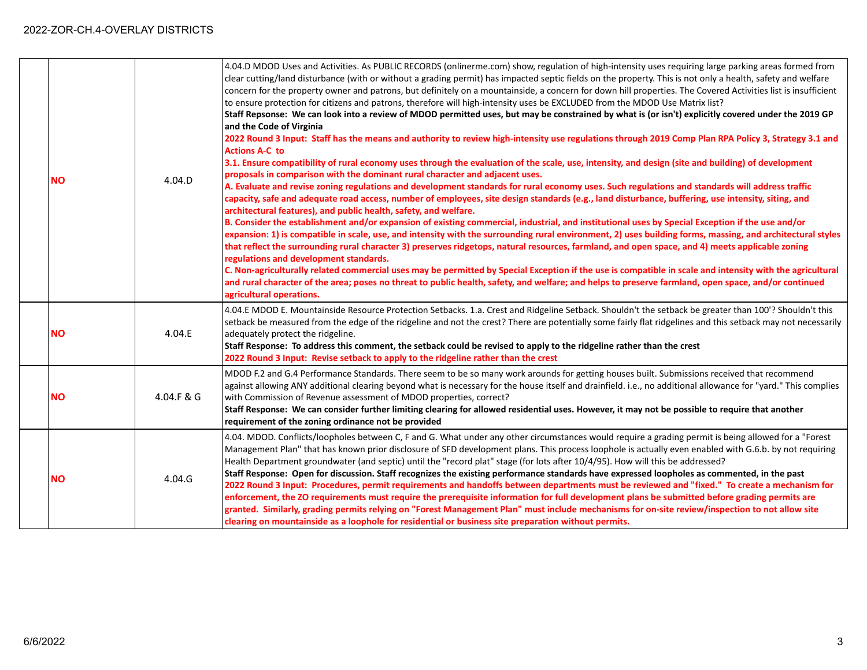| <b>NO</b> | 4.04.D     | 4.04.D MDOD Uses and Activities. As PUBLIC RECORDS (onlinerme.com) show, regulation of high-intensity uses requiring large parking areas formed from<br>clear cutting/land disturbance (with or without a grading permit) has impacted septic fields on the property. This is not only a health, safety and welfare<br>concern for the property owner and patrons, but definitely on a mountainside, a concern for down hill properties. The Covered Activities list is insufficient<br>to ensure protection for citizens and patrons, therefore will high-intensity uses be EXCLUDED from the MDOD Use Matrix list?<br>Staff Repsonse: We can look into a review of MDOD permitted uses, but may be constrained by what is (or isn't) explicitly covered under the 2019 GP<br>and the Code of Virginia<br>2022 Round 3 Input: Staff has the means and authority to review high-intensity use regulations through 2019 Comp Plan RPA Policy 3, Strategy 3.1 and<br><b>Actions A-C to</b><br>3.1. Ensure compatibility of rural economy uses through the evaluation of the scale, use, intensity, and design (site and building) of development<br>proposals in comparison with the dominant rural character and adjacent uses.<br>A. Evaluate and revise zoning regulations and development standards for rural economy uses. Such regulations and standards will address traffic<br>capacity, safe and adequate road access, number of employees, site design standards (e.g., land disturbance, buffering, use intensity, siting, and<br>architectural features), and public health, safety, and welfare.<br>B. Consider the establishment and/or expansion of existing commercial, industrial, and institutional uses by Special Exception if the use and/or<br>expansion: 1) is compatible in scale, use, and intensity with the surrounding rural environment, 2) uses building forms, massing, and architectural styles<br>that reflect the surrounding rural character 3) preserves ridgetops, natural resources, farmland, and open space, and 4) meets applicable zoning<br>regulations and development standards.<br>C. Non-agriculturally related commercial uses may be permitted by Special Exception if the use is compatible in scale and intensity with the agricultural<br>and rural character of the area; poses no threat to public health, safety, and welfare; and helps to preserve farmland, open space, and/or continued<br>agricultural operations. |
|-----------|------------|------------------------------------------------------------------------------------------------------------------------------------------------------------------------------------------------------------------------------------------------------------------------------------------------------------------------------------------------------------------------------------------------------------------------------------------------------------------------------------------------------------------------------------------------------------------------------------------------------------------------------------------------------------------------------------------------------------------------------------------------------------------------------------------------------------------------------------------------------------------------------------------------------------------------------------------------------------------------------------------------------------------------------------------------------------------------------------------------------------------------------------------------------------------------------------------------------------------------------------------------------------------------------------------------------------------------------------------------------------------------------------------------------------------------------------------------------------------------------------------------------------------------------------------------------------------------------------------------------------------------------------------------------------------------------------------------------------------------------------------------------------------------------------------------------------------------------------------------------------------------------------------------------------------------------------------------------------------------------------------------------------------------------------------------------------------------------------------------------------------------------------------------------------------------------------------------------------------------------------------------------------------------------------------------------------------------------------------------------------------------------------------------------------------------------------------------------------------------------|
| <b>NO</b> | 4.04.E     | 4.04.E MDOD E. Mountainside Resource Protection Setbacks. 1.a. Crest and Ridgeline Setback. Shouldn't the setback be greater than 100'? Shouldn't this<br>setback be measured from the edge of the ridgeline and not the crest? There are potentially some fairly flat ridgelines and this setback may not necessarily<br>adequately protect the ridgeline.<br>Staff Response: To address this comment, the setback could be revised to apply to the ridgeline rather than the crest<br>2022 Round 3 Input: Revise setback to apply to the ridgeline rather than the crest                                                                                                                                                                                                                                                                                                                                                                                                                                                                                                                                                                                                                                                                                                                                                                                                                                                                                                                                                                                                                                                                                                                                                                                                                                                                                                                                                                                                                                                                                                                                                                                                                                                                                                                                                                                                                                                                                                   |
| <b>NO</b> | 4.04.F & G | MDOD F.2 and G.4 Performance Standards. There seem to be so many work arounds for getting houses built. Submissions received that recommend<br>against allowing ANY additional clearing beyond what is necessary for the house itself and drainfield. i.e., no additional allowance for "yard." This complies<br>with Commission of Revenue assessment of MDOD properties, correct?<br>Staff Response: We can consider further limiting clearing for allowed residential uses. However, it may not be possible to require that another<br>requirement of the zoning ordinance not be provided                                                                                                                                                                                                                                                                                                                                                                                                                                                                                                                                                                                                                                                                                                                                                                                                                                                                                                                                                                                                                                                                                                                                                                                                                                                                                                                                                                                                                                                                                                                                                                                                                                                                                                                                                                                                                                                                                |
| <b>NO</b> | 4.04.G     | 4.04. MDOD. Conflicts/loopholes between C, F and G. What under any other circumstances would require a grading permit is being allowed for a "Forest<br>Management Plan" that has known prior disclosure of SFD development plans. This process loophole is actually even enabled with G.6.b. by not requiring<br>Health Department groundwater (and septic) until the "record plat" stage (for lots after 10/4/95). How will this be addressed?<br>Staff Response: Open for discussion. Staff recognizes the existing performance standards have expressed loopholes as commented, in the past<br>2022 Round 3 Input: Procedures, permit requirements and handoffs between departments must be reviewed and "fixed." To create a mechanism for<br>enforcement, the ZO requirements must require the prerequisite information for full development plans be submitted before grading permits are<br>granted. Similarly, grading permits relying on "Forest Management Plan" must include mechanisms for on-site review/inspection to not allow site<br>clearing on mountainside as a loophole for residential or business site preparation without permits.                                                                                                                                                                                                                                                                                                                                                                                                                                                                                                                                                                                                                                                                                                                                                                                                                                                                                                                                                                                                                                                                                                                                                                                                                                                                                                                  |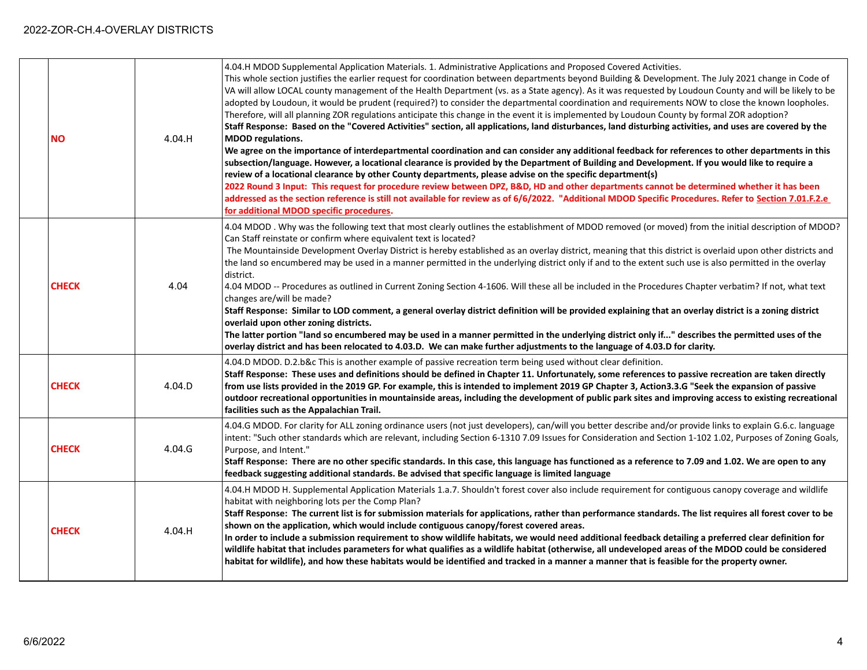| <b>NO</b>    | 4.04.H | 4.04.H MDOD Supplemental Application Materials. 1. Administrative Applications and Proposed Covered Activities.<br>This whole section justifies the earlier request for coordination between departments beyond Building & Development. The July 2021 change in Code of<br>VA will allow LOCAL county management of the Health Department (vs. as a State agency). As it was requested by Loudoun County and will be likely to be<br>adopted by Loudoun, it would be prudent (required?) to consider the departmental coordination and requirements NOW to close the known loopholes.<br>Therefore, will all planning ZOR regulations anticipate this change in the event it is implemented by Loudoun County by formal ZOR adoption?<br>Staff Response: Based on the "Covered Activities" section, all applications, land disturbances, land disturbing activities, and uses are covered by the<br><b>MDOD</b> regulations.<br>We agree on the importance of interdepartmental coordination and can consider any additional feedback for references to other departments in this<br>subsection/language. However, a locational clearance is provided by the Department of Building and Development. If you would like to require a<br>review of a locational clearance by other County departments, please advise on the specific department(s)<br>2022 Round 3 Input: This request for procedure review between DPZ, B&D, HD and other departments cannot be determined whether it has been<br>addressed as the section reference is still not available for review as of 6/6/2022. "Additional MDOD Specific Procedures. Refer to Section 7.01.F.2.e<br>for additional MDOD specific procedures. |
|--------------|--------|-----------------------------------------------------------------------------------------------------------------------------------------------------------------------------------------------------------------------------------------------------------------------------------------------------------------------------------------------------------------------------------------------------------------------------------------------------------------------------------------------------------------------------------------------------------------------------------------------------------------------------------------------------------------------------------------------------------------------------------------------------------------------------------------------------------------------------------------------------------------------------------------------------------------------------------------------------------------------------------------------------------------------------------------------------------------------------------------------------------------------------------------------------------------------------------------------------------------------------------------------------------------------------------------------------------------------------------------------------------------------------------------------------------------------------------------------------------------------------------------------------------------------------------------------------------------------------------------------------------------------------------------------------------------------------------------------------|
| <b>CHECK</b> | 4.04   | 4.04 MDOD . Why was the following text that most clearly outlines the establishment of MDOD removed (or moved) from the initial description of MDOD?<br>Can Staff reinstate or confirm where equivalent text is located?<br>The Mountainside Development Overlay District is hereby established as an overlay district, meaning that this district is overlaid upon other districts and<br>the land so encumbered may be used in a manner permitted in the underlying district only if and to the extent such use is also permitted in the overlay<br>district.<br>4.04 MDOD -- Procedures as outlined in Current Zoning Section 4-1606. Will these all be included in the Procedures Chapter verbatim? If not, what text<br>changes are/will be made?<br>Staff Response: Similar to LOD comment, a general overlay district definition will be provided explaining that an overlay district is a zoning district<br>overlaid upon other zoning districts.<br>The latter portion "land so encumbered may be used in a manner permitted in the underlying district only if" describes the permitted uses of the<br>overlay district and has been relocated to 4.03.D. We can make further adjustments to the language of 4.03.D for clarity.                                                                                                                                                                                                                                                                                                                                                                                                                                                         |
| <b>CHECK</b> | 4.04.D | 4.04.D MDOD. D.2.b&c This is another example of passive recreation term being used without clear definition.<br>Staff Response: These uses and definitions should be defined in Chapter 11. Unfortunately, some references to passive recreation are taken directly<br>from use lists provided in the 2019 GP. For example, this is intended to implement 2019 GP Chapter 3, Action3.3.G "Seek the expansion of passive<br>outdoor recreational opportunities in mountainside areas, including the development of public park sites and improving access to existing recreational<br>facilities such as the Appalachian Trail.                                                                                                                                                                                                                                                                                                                                                                                                                                                                                                                                                                                                                                                                                                                                                                                                                                                                                                                                                                                                                                                                      |
| <b>CHECK</b> | 4.04.G | 4.04.G MDOD. For clarity for ALL zoning ordinance users (not just developers), can/will you better describe and/or provide links to explain G.6.c. language<br>intent: "Such other standards which are relevant, including Section 6-1310 7.09 Issues for Consideration and Section 1-102 1.02, Purposes of Zoning Goals,<br>Purpose, and Intent."<br>Staff Response: There are no other specific standards. In this case, this language has functioned as a reference to 7.09 and 1.02. We are open to any<br>feedback suggesting additional standards. Be advised that specific language is limited language                                                                                                                                                                                                                                                                                                                                                                                                                                                                                                                                                                                                                                                                                                                                                                                                                                                                                                                                                                                                                                                                                      |
| <b>CHECK</b> | 4.04.H | 4.04.H MDOD H. Supplemental Application Materials 1.a.7. Shouldn't forest cover also include requirement for contiguous canopy coverage and wildlife<br>habitat with neighboring lots per the Comp Plan?<br>Staff Response: The current list is for submission materials for applications, rather than performance standards. The list requires all forest cover to be<br>shown on the application, which would include contiguous canopy/forest covered areas.<br>In order to include a submission requirement to show wildlife habitats, we would need additional feedback detailing a preferred clear definition for<br>wildlife habitat that includes parameters for what qualifies as a wildlife habitat (otherwise, all undeveloped areas of the MDOD could be considered<br>habitat for wildlife), and how these habitats would be identified and tracked in a manner a manner that is feasible for the property owner.                                                                                                                                                                                                                                                                                                                                                                                                                                                                                                                                                                                                                                                                                                                                                                      |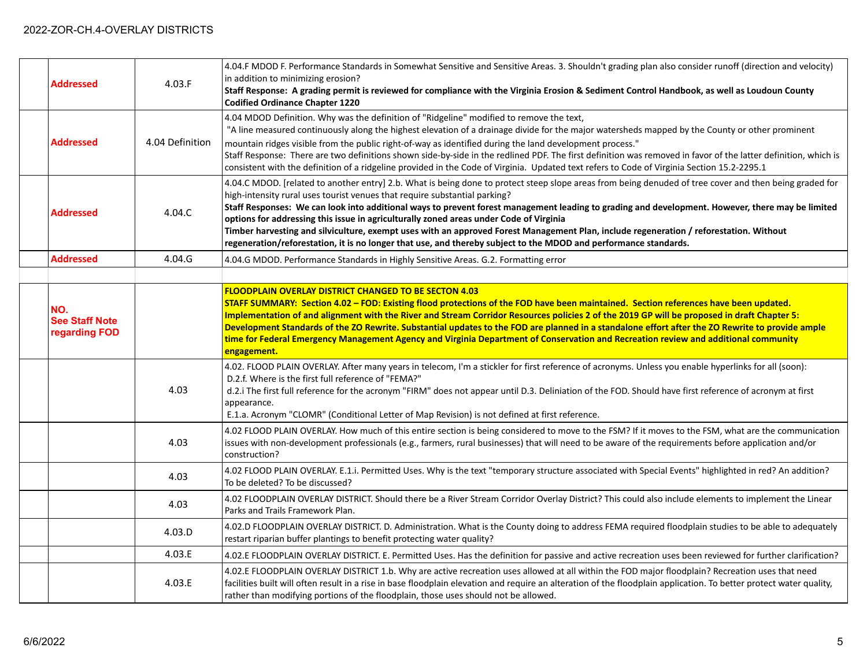| <b>Addressed</b>                              | 4.03.F          | 4.04.F MDOD F. Performance Standards in Somewhat Sensitive and Sensitive Areas. 3. Shouldn't grading plan also consider runoff (direction and velocity)<br>in addition to minimizing erosion?<br>Staff Response: A grading permit is reviewed for compliance with the Virginia Erosion & Sediment Control Handbook, as well as Loudoun County<br><b>Codified Ordinance Chapter 1220</b>                                                                                                                                                                                                                                                                                                                                                           |
|-----------------------------------------------|-----------------|---------------------------------------------------------------------------------------------------------------------------------------------------------------------------------------------------------------------------------------------------------------------------------------------------------------------------------------------------------------------------------------------------------------------------------------------------------------------------------------------------------------------------------------------------------------------------------------------------------------------------------------------------------------------------------------------------------------------------------------------------|
| <b>Addressed</b>                              | 4.04 Definition | 4.04 MDOD Definition. Why was the definition of "Ridgeline" modified to remove the text,<br>"A line measured continuously along the highest elevation of a drainage divide for the major watersheds mapped by the County or other prominent<br>mountain ridges visible from the public right-of-way as identified during the land development process."<br>Staff Response: There are two definitions shown side-by-side in the redlined PDF. The first definition was removed in favor of the latter definition, which is<br>consistent with the definition of a ridgeline provided in the Code of Virginia. Updated text refers to Code of Virginia Section 15.2-2295.1                                                                          |
| <b>Addressed</b>                              | 4.04.C          | 4.04.C MDOD. [related to another entry] 2.b. What is being done to protect steep slope areas from being denuded of tree cover and then being graded for<br>high-intensity rural uses tourist venues that require substantial parking?<br>Staff Responses: We can look into additional ways to prevent forest management leading to grading and development. However, there may be limited<br>options for addressing this issue in agriculturally zoned areas under Code of Virginia<br>Timber harvesting and silviculture, exempt uses with an approved Forest Management Plan, include regeneration / reforestation. Without<br>regeneration/reforestation, it is no longer that use, and thereby subject to the MDOD and performance standards. |
| <b>Addressed</b>                              | 4.04.G          | 4.04.G MDOD. Performance Standards in Highly Sensitive Areas. G.2. Formatting error                                                                                                                                                                                                                                                                                                                                                                                                                                                                                                                                                                                                                                                               |
|                                               |                 |                                                                                                                                                                                                                                                                                                                                                                                                                                                                                                                                                                                                                                                                                                                                                   |
| NO.<br><b>See Staff Note</b><br>regarding FOD |                 | <b>FLOODPLAIN OVERLAY DISTRICT CHANGED TO BE SECTON 4.03</b><br>STAFF SUMMARY: Section 4.02 - FOD: Existing flood protections of the FOD have been maintained. Section references have been updated.<br>Implementation of and alignment with the River and Stream Corridor Resources policies 2 of the 2019 GP will be proposed in draft Chapter 5:<br>Development Standards of the ZO Rewrite. Substantial updates to the FOD are planned in a standalone effort after the ZO Rewrite to provide ample<br>time for Federal Emergency Management Agency and Virginia Department of Conservation and Recreation review and additional community<br>engagement.                                                                                     |
|                                               | 4.03            | 4.02. FLOOD PLAIN OVERLAY. After many years in telecom, I'm a stickler for first reference of acronyms. Unless you enable hyperlinks for all (soon):<br>D.2.f. Where is the first full reference of "FEMA?"<br>d.2.i The first full reference for the acronym "FIRM" does not appear until D.3. Deliniation of the FOD. Should have first reference of acronym at first<br>appearance.<br>E.1.a. Acronym "CLOMR" (Conditional Letter of Map Revision) is not defined at first reference.                                                                                                                                                                                                                                                          |
|                                               | 4.03            | 4.02 FLOOD PLAIN OVERLAY. How much of this entire section is being considered to move to the FSM? If it moves to the FSM, what are the communication<br>issues with non-development professionals (e.g., farmers, rural businesses) that will need to be aware of the requirements before application and/or<br>construction?                                                                                                                                                                                                                                                                                                                                                                                                                     |
|                                               | 4.03            | 4.02 FLOOD PLAIN OVERLAY. E.1.i. Permitted Uses. Why is the text "temporary structure associated with Special Events" highlighted in red? An addition?<br>To be deleted? To be discussed?                                                                                                                                                                                                                                                                                                                                                                                                                                                                                                                                                         |
|                                               | 4.03            | 4.02 FLOODPLAIN OVERLAY DISTRICT. Should there be a River Stream Corridor Overlay District? This could also include elements to implement the Linear<br>Parks and Trails Framework Plan.                                                                                                                                                                                                                                                                                                                                                                                                                                                                                                                                                          |
|                                               | 4.03.D          | 4.02.D FLOODPLAIN OVERLAY DISTRICT. D. Administration. What is the County doing to address FEMA required floodplain studies to be able to adequately<br>restart riparian buffer plantings to benefit protecting water quality?                                                                                                                                                                                                                                                                                                                                                                                                                                                                                                                    |
|                                               | 4.03.E          | 4.02.E FLOODPLAIN OVERLAY DISTRICT. E. Permitted Uses. Has the definition for passive and active recreation uses been reviewed for further clarification?                                                                                                                                                                                                                                                                                                                                                                                                                                                                                                                                                                                         |
|                                               | 4.03.E          | 4.02.E FLOODPLAIN OVERLAY DISTRICT 1.b. Why are active recreation uses allowed at all within the FOD major floodplain? Recreation uses that need<br>facilities built will often result in a rise in base floodplain elevation and require an alteration of the floodplain application. To better protect water quality,<br>rather than modifying portions of the floodplain, those uses should not be allowed.                                                                                                                                                                                                                                                                                                                                    |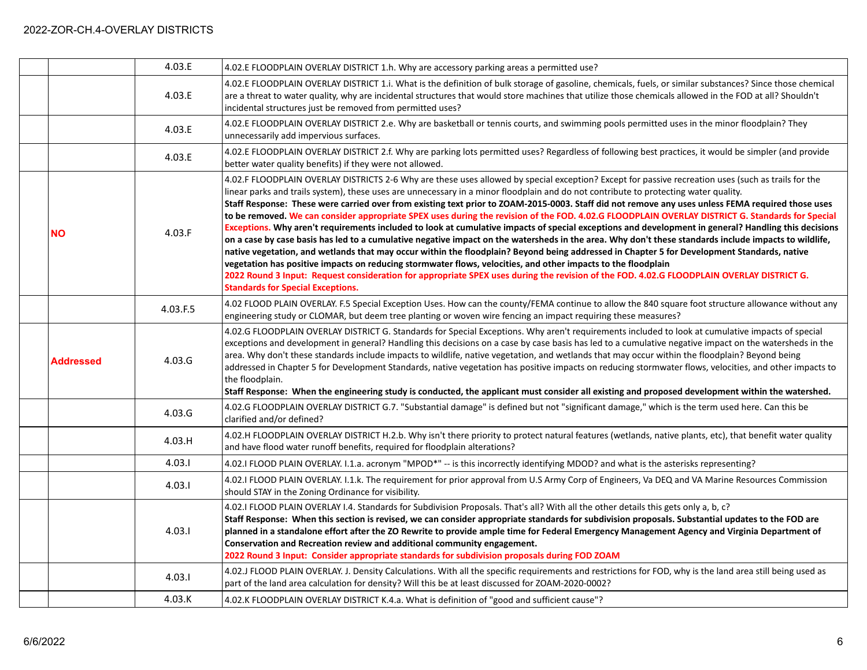|                  | 4.03.E   | 4.02.E FLOODPLAIN OVERLAY DISTRICT 1.h. Why are accessory parking areas a permitted use?                                                                                                                                                                                                                                                                                                                                                                                                                                                                                                                                                                                                                                                                                                                                                                                                                                                                                                                                                                                                                                                                                                                                                                                                                                                                                       |
|------------------|----------|--------------------------------------------------------------------------------------------------------------------------------------------------------------------------------------------------------------------------------------------------------------------------------------------------------------------------------------------------------------------------------------------------------------------------------------------------------------------------------------------------------------------------------------------------------------------------------------------------------------------------------------------------------------------------------------------------------------------------------------------------------------------------------------------------------------------------------------------------------------------------------------------------------------------------------------------------------------------------------------------------------------------------------------------------------------------------------------------------------------------------------------------------------------------------------------------------------------------------------------------------------------------------------------------------------------------------------------------------------------------------------|
|                  | 4.03.E   | 4.02.E FLOODPLAIN OVERLAY DISTRICT 1.i. What is the definition of bulk storage of gasoline, chemicals, fuels, or similar substances? Since those chemical<br>are a threat to water quality, why are incidental structures that would store machines that utilize those chemicals allowed in the FOD at all? Shouldn't<br>incidental structures just be removed from permitted uses?                                                                                                                                                                                                                                                                                                                                                                                                                                                                                                                                                                                                                                                                                                                                                                                                                                                                                                                                                                                            |
|                  | 4.03.E   | 4.02.E FLOODPLAIN OVERLAY DISTRICT 2.e. Why are basketball or tennis courts, and swimming pools permitted uses in the minor floodplain? They<br>unnecessarily add impervious surfaces.                                                                                                                                                                                                                                                                                                                                                                                                                                                                                                                                                                                                                                                                                                                                                                                                                                                                                                                                                                                                                                                                                                                                                                                         |
|                  | 4.03.E   | 4.02.E FLOODPLAIN OVERLAY DISTRICT 2.f. Why are parking lots permitted uses? Regardless of following best practices, it would be simpler (and provide<br>better water quality benefits) if they were not allowed.                                                                                                                                                                                                                                                                                                                                                                                                                                                                                                                                                                                                                                                                                                                                                                                                                                                                                                                                                                                                                                                                                                                                                              |
| <b>NO</b>        | 4.03.F   | 4.02.F FLOODPLAIN OVERLAY DISTRICTS 2-6 Why are these uses allowed by special exception? Except for passive recreation uses (such as trails for the<br>linear parks and trails system), these uses are unnecessary in a minor floodplain and do not contribute to protecting water quality.<br>Staff Response: These were carried over from existing text prior to ZOAM-2015-0003. Staff did not remove any uses unless FEMA required those uses<br>to be removed. We can consider appropriate SPEX uses during the revision of the FOD. 4.02.G FLOODPLAIN OVERLAY DISTRICT G. Standards for Special<br>Exceptions. Why aren't requirements included to look at cumulative impacts of special exceptions and development in general? Handling this decisions<br>on a case by case basis has led to a cumulative negative impact on the watersheds in the area. Why don't these standards include impacts to wildlife,<br>native vegetation, and wetlands that may occur within the floodplain? Beyond being addressed in Chapter 5 for Development Standards, native<br>vegetation has positive impacts on reducing stormwater flows, velocities, and other impacts to the floodplain<br>2022 Round 3 Input: Request consideration for appropriate SPEX uses during the revision of the FOD. 4.02.G FLOODPLAIN OVERLAY DISTRICT G.<br><b>Standards for Special Exceptions.</b> |
|                  | 4.03.F.5 | 4.02 FLOOD PLAIN OVERLAY. F.5 Special Exception Uses. How can the county/FEMA continue to allow the 840 square foot structure allowance without any<br>engineering study or CLOMAR, but deem tree planting or woven wire fencing an impact requiring these measures?                                                                                                                                                                                                                                                                                                                                                                                                                                                                                                                                                                                                                                                                                                                                                                                                                                                                                                                                                                                                                                                                                                           |
| <b>Addressed</b> | 4.03.G   | 4.02.G FLOODPLAIN OVERLAY DISTRICT G. Standards for Special Exceptions. Why aren't requirements included to look at cumulative impacts of special<br>exceptions and development in general? Handling this decisions on a case by case basis has led to a cumulative negative impact on the watersheds in the<br>area. Why don't these standards include impacts to wildlife, native vegetation, and wetlands that may occur within the floodplain? Beyond being<br>addressed in Chapter 5 for Development Standards, native vegetation has positive impacts on reducing stormwater flows, velocities, and other impacts to<br>the floodplain.<br>Staff Response: When the engineering study is conducted, the applicant must consider all existing and proposed development within the watershed.                                                                                                                                                                                                                                                                                                                                                                                                                                                                                                                                                                              |
|                  | 4.03.G   | 4.02.G FLOODPLAIN OVERLAY DISTRICT G.7. "Substantial damage" is defined but not "significant damage," which is the term used here. Can this be<br>clarified and/or defined?                                                                                                                                                                                                                                                                                                                                                                                                                                                                                                                                                                                                                                                                                                                                                                                                                                                                                                                                                                                                                                                                                                                                                                                                    |
|                  | 4.03.H   | 4.02.H FLOODPLAIN OVERLAY DISTRICT H.2.b. Why isn't there priority to protect natural features (wetlands, native plants, etc), that benefit water quality<br>and have flood water runoff benefits, required for floodplain alterations?                                                                                                                                                                                                                                                                                                                                                                                                                                                                                                                                                                                                                                                                                                                                                                                                                                                                                                                                                                                                                                                                                                                                        |
|                  | 4.03.1   | 4.02.I FLOOD PLAIN OVERLAY. I.1.a. acronym "MPOD*" -- is this incorrectly identifying MDOD? and what is the asterisks representing?                                                                                                                                                                                                                                                                                                                                                                                                                                                                                                                                                                                                                                                                                                                                                                                                                                                                                                                                                                                                                                                                                                                                                                                                                                            |
|                  | 4.03.1   | 4.02.I FLOOD PLAIN OVERLAY. I.1.k. The requirement for prior approval from U.S Army Corp of Engineers, Va DEQ and VA Marine Resources Commission<br>should STAY in the Zoning Ordinance for visibility.                                                                                                                                                                                                                                                                                                                                                                                                                                                                                                                                                                                                                                                                                                                                                                                                                                                                                                                                                                                                                                                                                                                                                                        |
|                  | 4.03.1   | 4.02.1 FLOOD PLAIN OVERLAY 1.4. Standards for Subdivision Proposals. That's all? With all the other details this gets only a, b, c?<br>Staff Response: When this section is revised, we can consider appropriate standards for subdivision proposals. Substantial updates to the FOD are<br>planned in a standalone effort after the ZO Rewrite to provide ample time for Federal Emergency Management Agency and Virginia Department of<br>Conservation and Recreation review and additional community engagement.<br>2022 Round 3 Input: Consider appropriate standards for subdivision proposals during FOD ZOAM                                                                                                                                                                                                                                                                                                                                                                                                                                                                                                                                                                                                                                                                                                                                                            |
|                  | 4.03.1   | 4.02.J FLOOD PLAIN OVERLAY. J. Density Calculations. With all the specific requirements and restrictions for FOD, why is the land area still being used as<br>part of the land area calculation for density? Will this be at least discussed for ZOAM-2020-0002?                                                                                                                                                                                                                                                                                                                                                                                                                                                                                                                                                                                                                                                                                                                                                                                                                                                                                                                                                                                                                                                                                                               |
|                  | 4.03.K   | 4.02.K FLOODPLAIN OVERLAY DISTRICT K.4.a. What is definition of "good and sufficient cause"?                                                                                                                                                                                                                                                                                                                                                                                                                                                                                                                                                                                                                                                                                                                                                                                                                                                                                                                                                                                                                                                                                                                                                                                                                                                                                   |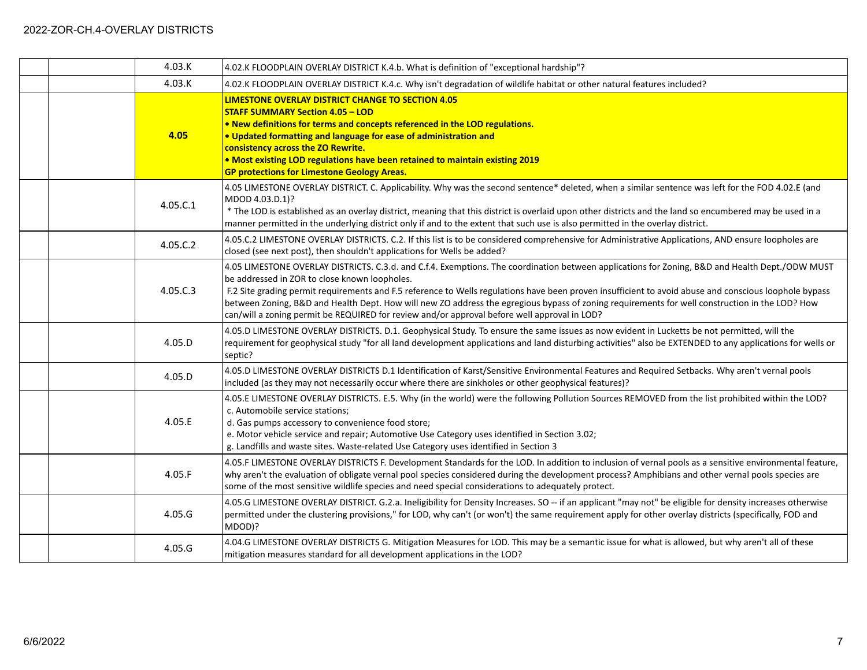|  | 4.03.K   | 4.02.K FLOODPLAIN OVERLAY DISTRICT K.4.b. What is definition of "exceptional hardship"?                                                                                                                                                                                                                                                                                                                                                                                                                                                                                                                      |
|--|----------|--------------------------------------------------------------------------------------------------------------------------------------------------------------------------------------------------------------------------------------------------------------------------------------------------------------------------------------------------------------------------------------------------------------------------------------------------------------------------------------------------------------------------------------------------------------------------------------------------------------|
|  | 4.03.K   | 4.02.K FLOODPLAIN OVERLAY DISTRICT K.4.c. Why isn't degradation of wildlife habitat or other natural features included?                                                                                                                                                                                                                                                                                                                                                                                                                                                                                      |
|  | 4.05     | LIMESTONE OVERLAY DISTRICT CHANGE TO SECTION 4.05<br><b>STAFF SUMMARY Section 4.05 - LOD</b><br>. New definitions for terms and concepts referenced in the LOD regulations.<br>. Updated formatting and language for ease of administration and<br>consistency across the ZO Rewrite.<br>. Most existing LOD regulations have been retained to maintain existing 2019<br><b>GP protections for Limestone Geology Areas.</b>                                                                                                                                                                                  |
|  | 4.05.C.1 | 4.05 LIMESTONE OVERLAY DISTRICT. C. Applicability. Why was the second sentence* deleted, when a similar sentence was left for the FOD 4.02.E (and<br>MDOD 4.03.D.1)?<br>* The LOD is established as an overlay district, meaning that this district is overlaid upon other districts and the land so encumbered may be used in a<br>manner permitted in the underlying district only if and to the extent that such use is also permitted in the overlay district.                                                                                                                                           |
|  | 4.05.C.2 | 4.05.C.2 LIMESTONE OVERLAY DISTRICTS. C.2. If this list is to be considered comprehensive for Administrative Applications, AND ensure loopholes are<br>closed (see next post), then shouldn't applications for Wells be added?                                                                                                                                                                                                                                                                                                                                                                               |
|  | 4.05.C.3 | 4.05 LIMESTONE OVERLAY DISTRICTS. C.3.d. and C.f.4. Exemptions. The coordination between applications for Zoning, B&D and Health Dept./ODW MUST<br>be addressed in ZOR to close known loopholes.<br>F.2 Site grading permit requirements and F.5 reference to Wells regulations have been proven insufficient to avoid abuse and conscious loophole bypass<br>between Zoning, B&D and Health Dept. How will new ZO address the egregious bypass of zoning requirements for well construction in the LOD? How<br>can/will a zoning permit be REQUIRED for review and/or approval before well approval in LOD? |
|  | 4.05.D   | 4.05.D LIMESTONE OVERLAY DISTRICTS. D.1. Geophysical Study. To ensure the same issues as now evident in Lucketts be not permitted, will the<br>requirement for geophysical study "for all land development applications and land disturbing activities" also be EXTENDED to any applications for wells or<br>septic?                                                                                                                                                                                                                                                                                         |
|  | 4.05.D   | 4.05.D LIMESTONE OVERLAY DISTRICTS D.1 Identification of Karst/Sensitive Environmental Features and Required Setbacks. Why aren't vernal pools<br>included (as they may not necessarily occur where there are sinkholes or other geophysical features)?                                                                                                                                                                                                                                                                                                                                                      |
|  | 4.05.E   | 4.05.E LIMESTONE OVERLAY DISTRICTS. E.5. Why (in the world) were the following Pollution Sources REMOVED from the list prohibited within the LOD?<br>c. Automobile service stations:<br>d. Gas pumps accessory to convenience food store;<br>e. Motor vehicle service and repair; Automotive Use Category uses identified in Section 3.02;<br>g. Landfills and waste sites. Waste-related Use Category uses identified in Section 3                                                                                                                                                                          |
|  | 4.05.F   | 4.05.F LIMESTONE OVERLAY DISTRICTS F. Development Standards for the LOD. In addition to inclusion of vernal pools as a sensitive environmental feature,<br>why aren't the evaluation of obligate vernal pool species considered during the development process? Amphibians and other vernal pools species are<br>some of the most sensitive wildlife species and need special considerations to adequately protect.                                                                                                                                                                                          |
|  | 4.05.G   | 4.05.G LIMESTONE OVERLAY DISTRICT. G.2.a. Ineligibility for Density Increases. SO -- if an applicant "may not" be eligible for density increases otherwise<br>permitted under the clustering provisions," for LOD, why can't (or won't) the same requirement apply for other overlay districts (specifically, FOD and<br>MDOD)?                                                                                                                                                                                                                                                                              |
|  | 4.05.G   | 4.04.G LIMESTONE OVERLAY DISTRICTS G. Mitigation Measures for LOD. This may be a semantic issue for what is allowed, but why aren't all of these<br>mitigation measures standard for all development applications in the LOD?                                                                                                                                                                                                                                                                                                                                                                                |